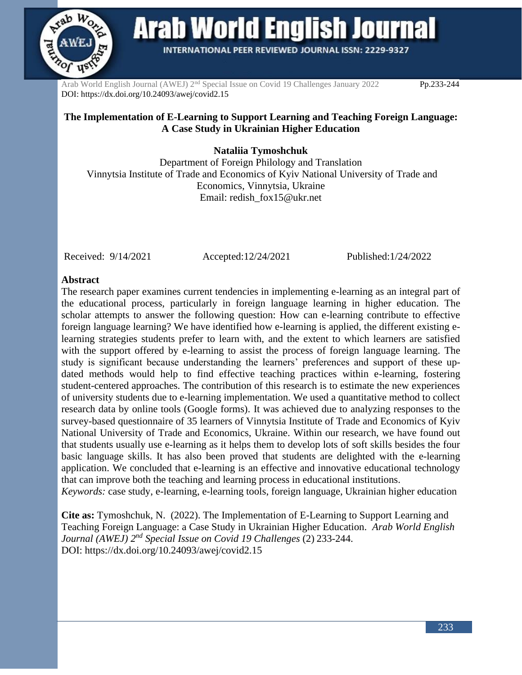

**Arab World English Journal** 

**INTERNATIONAL PEER REVIEWED JOURNAL ISSN: 2229-9327** 

Arab World English Journal (AWEJ) 2<sup>nd</sup> Special Issue on Covid 19 Challenges January 2022 Pp.233-244 DOI: https://dx.doi.org/10.24093/awej/covid2.15

# **The Implementation of E-Learning to Support Learning and Teaching Foreign Language: A Case Study in Ukrainian Higher Education**

**Nataliia Tymoshchuk**

Department of Foreign Philology and Translation Vinnytsia Institute of Trade and Economics of Kyiv National University of Trade and Economics, Vinnytsia, Ukraine Email: redish\_fox15@ukr.net

Received: 9/14/2021 Accepted:12/24/2021 Published:1/24/2022

#### **Abstract**

The research paper examines current tendencies in implementing e-learning as an integral part of the educational process, particularly in foreign language learning in higher education. The scholar attempts to answer the following question: How can e-learning contribute to effective foreign language learning? We have identified how e-learning is applied, the different existing elearning strategies students prefer to learn with, and the extent to which learners are satisfied with the support offered by e-learning to assist the process of foreign language learning. The study is significant because understanding the learners' preferences and support of these updated methods would help to find effective teaching practices within e-learning, fostering student-centered approaches. The contribution of this research is to estimate the new experiences of university students due to e-learning implementation. We used a quantitative method to collect research data by online tools (Google forms). It was achieved due to analyzing responses to the survey-based questionnaire of 35 learners of Vinnytsia Institute of Trade and Economics of Kyiv National University of Trade and Economics, Ukraine. Within our research, we have found out that students usually use e-learning as it helps them to develop lots of soft skills besides the four basic language skills. It has also been proved that students are delighted with the e-learning application. We concluded that e-learning is an effective and innovative educational technology that can improve both the teaching and learning process in educational institutions.

*Keywords:* case study, e-learning, e-learning tools, foreign language, Ukrainian higher education

**Cite as:** Tymoshchuk, N. (2022). The Implementation of E-Learning to Support Learning and Teaching Foreign Language: a Case Study in Ukrainian Higher Education. *Arab World English Journal (AWEJ) 2nd Special Issue on Covid 19 Challenges* (2) 233-244. DOI: https://dx.doi.org/10.24093/awej/covid2.15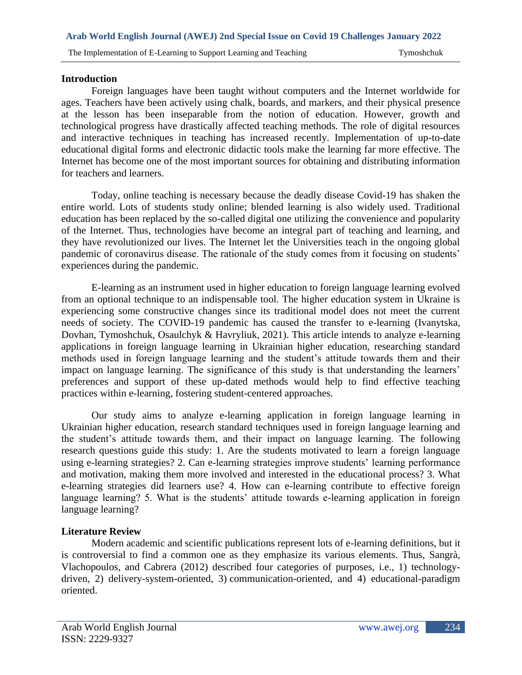# **Introduction**

Foreign languages have been taught without computers and the Internet worldwide for ages. Teachers have been actively using chalk, boards, and markers, and their physical presence at the lesson has been inseparable from the notion of education. However, growth and technological progress have drastically affected teaching methods. The role of digital resources and interactive techniques in teaching has increased recently. Implementation of up-to-date educational digital forms and electronic didactic tools make the learning far more effective. The Internet has become one of the most important sources for obtaining and distributing information for teachers and learners.

Today, online teaching is necessary because the deadly disease Covid-19 has shaken the entire world. Lots of students study online; blended learning is also widely used. Traditional education has been replaced by the so-called digital one utilizing the convenience and popularity of the Internet. Thus, technologies have become an integral part of teaching and learning, and they have revolutionized our lives. The Internet let the Universities teach in the ongoing global pandemic of coronavirus disease. The rationale of the study comes from it focusing on students' experiences during the pandemic.

E-learning as an instrument used in higher education to foreign language learning evolved from an optional technique to an indispensable tool. The higher education system in Ukraine is experiencing some constructive changes since its traditional model does not meet the current needs of society. The COVID-19 pandemic has caused the transfer to e-learning (Ivanytska, Dovhan, Tymoshchuk, Osaulchyk & Havryliuk, 2021). This article intends to analyze e-learning applications in foreign language learning in Ukrainian higher education, researching standard methods used in foreign language learning and the student's attitude towards them and their impact on language learning. The significance of this study is that understanding the learners' preferences and support of these up-dated methods would help to find effective teaching practices within e-learning, fostering student-centered approaches.

Our study aims to analyze e-learning application in foreign language learning in Ukrainian higher education, research standard techniques used in foreign language learning and the student's attitude towards them, and their impact on language learning. The following research questions guide this study: 1. Are the students motivated to learn a foreign language using e-learning strategies? 2. Can e-learning strategies improve students' learning performance and motivation, making them more involved and interested in the educational process? 3. What e-learning strategies did learners use? 4. How can e-learning contribute to effective foreign language learning? 5. What is the students' attitude towards e-learning application in foreign language learning?

# **Literature Review**

Modern academic and scientific publications represent lots of e-learning definitions, but it is controversial to find a common one as they emphasize its various elements. Thus, Sangrà, Vlachopoulos, and Cabrera (2012) described four categories of purposes, i.e., 1) technologydriven, 2) delivery-system-oriented, 3) communication-oriented, and 4) educational-paradigm oriented.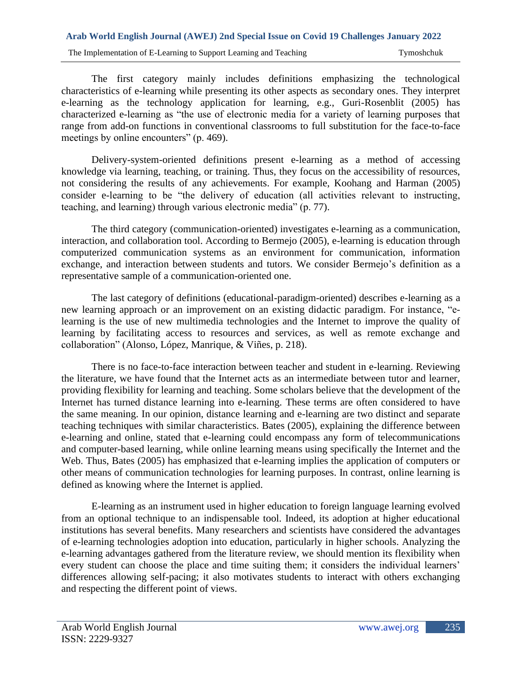The Implementation of E-Learning to Support Learning and Teaching Tymoshchuk Tymoshchuk

The first category mainly includes definitions emphasizing the technological characteristics of e-learning while presenting its other aspects as secondary ones. They interpret e-learning as the technology application for learning, e.g., Guri-Rosenblit (2005) has characterized e-learning as "the use of electronic media for a variety of learning purposes that range from add-on functions in conventional classrooms to full substitution for the face-to-face meetings by online encounters" (p. 469).

Delivery-system-oriented definitions present e-learning as a method of accessing knowledge via learning, teaching, or training. Thus, they focus on the accessibility of resources, not considering the results of any achievements. For example, Koohang and Harman (2005) consider e-learning to be "the delivery of education (all activities relevant to instructing, teaching, and learning) through various electronic media" (p. 77).

The third category (communication-oriented) investigates e-learning as a communication, interaction, and collaboration tool. According to Bermejo (2005), e-learning is education through computerized communication systems as an environment for communication, information exchange, and interaction between students and tutors. We consider Bermejo's definition as a representative sample of a communication-oriented one.

The last category of definitions (educational-paradigm-oriented) describes e-learning as a new learning approach or an improvement on an existing didactic paradigm. For instance, "elearning is the use of new multimedia technologies and the Internet to improve the quality of learning by facilitating access to resources and services, as well as remote exchange and collaboration" (Alonso, López, Manrique, & Viñes, p. 218).

There is no face-to-face interaction between teacher and student in e-learning. Reviewing the literature, we have found that the Internet acts as an intermediate between tutor and learner, providing flexibility for learning and teaching. Some scholars believe that the development of the Internet has turned distance learning into e-learning. These terms are often considered to have the same meaning. In our opinion, distance learning and e-learning are two distinct and separate teaching techniques with similar characteristics. Bates (2005), explaining the difference between e-learning and online, stated that e-learning could encompass any form of telecommunications and computer-based learning, while online learning means using specifically the Internet and the Web. Thus, Bates (2005) has emphasized that e-learning implies the application of computers or other means of communication technologies for learning purposes. In contrast, online learning is defined as knowing where the Internet is applied.

E-learning as an instrument used in higher education to foreign language learning evolved from an optional technique to an indispensable tool. Indeed, its adoption at higher educational institutions has several benefits. Many researchers and scientists have considered the advantages of e-learning technologies adoption into education, particularly in higher schools. Analyzing the e-learning advantages gathered from the literature review, we should mention its flexibility when every student can choose the place and time suiting them; it considers the individual learners' differences allowing self-pacing; it also motivates students to interact with others exchanging and respecting the different point of views.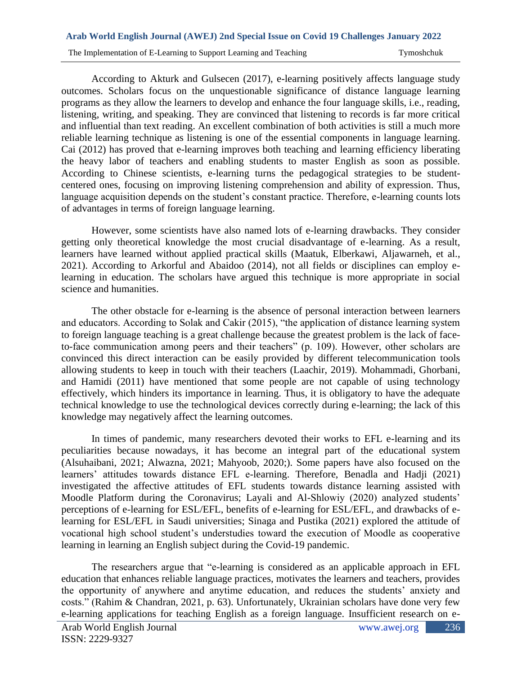# **Arab World English Journal (AWEJ) 2nd Special Issue on Covid 19 Challenges January 2022**  The Implementation of E-Learning to Support Learning and Teaching Tymoshchuk Tymoshchuk

According to Akturk and Gulsecen (2017), e-learning positively affects language study outcomes. Scholars focus on the unquestionable significance of distance language learning programs as they allow the learners to develop and enhance the four language skills, i.e., reading, listening, writing, and speaking. They are convinced that listening to records is far more critical and influential than text reading. An excellent combination of both activities is still a much more reliable learning technique as listening is one of the essential components in language learning. Cai (2012) has proved that e-learning improves both teaching and learning efficiency liberating the heavy labor of teachers and enabling students to master English as soon as possible. According to Chinese scientists, e-learning turns the pedagogical strategies to be studentcentered ones, focusing on improving listening comprehension and ability of expression. Thus, language acquisition depends on the student's constant practice. Therefore, e-learning counts lots of advantages in terms of foreign language learning.

However, some scientists have also named lots of e-learning drawbacks. They consider getting only theoretical knowledge the most crucial disadvantage of e-learning. As a result, learners have learned without applied practical skills (Maatuk, Elberkawi, Aljawarneh, et al., 2021). According to Arkorful and Abaidoo (2014), not all fields or disciplines can employ elearning in education. The scholars have argued this technique is more appropriate in social science and humanities.

The other obstacle for e-learning is the absence of personal interaction between learners and educators. According to Solak and Cakir (2015), "the application of distance learning system to foreign language teaching is a great challenge because the greatest problem is the lack of faceto-face communication among peers and their teachers" (p. 109). However, other scholars are convinced this direct interaction can be easily provided by different telecommunication tools allowing students to keep in touch with their teachers (Laachir, 2019). Mohammadi, Ghorbani, and Hamidi (2011) have mentioned that some people are not capable of using technology effectively, which hinders its importance in learning. Thus, it is obligatory to have the adequate technical knowledge to use the technological devices correctly during e-learning; the lack of this knowledge may negatively affect the learning outcomes.

In times of pandemic, many researchers devoted their works to EFL e-learning and its peculiarities because nowadays, it has become an integral part of the educational system (Alsuhaibani, 2021; Alwazna, 2021; Mahyoob, 2020;). Some papers have also focused on the learners' attitudes towards distance EFL e-learning. Therefore, Benadla and Hadji (2021) investigated the affective attitudes of EFL students towards distance learning assisted with Moodle Platform during the Coronavirus; Layali and Al-Shlowiy (2020) analyzed students' perceptions of e-learning for ESL/EFL, benefits of e-learning for ESL/EFL, and drawbacks of elearning for ESL/EFL in Saudi universities; Sinaga and Pustika (2021) explored the attitude of vocational high school student's understudies toward the execution of Moodle as cooperative learning in learning an English subject during the Covid-19 pandemic.

The researchers argue that "e-learning is considered as an applicable approach in EFL education that enhances reliable language practices, motivates the learners and teachers, provides the opportunity of anywhere and anytime education, and reduces the students' anxiety and costs." (Rahim & Chandran, 2021, p. 63). Unfortunately, Ukrainian scholars have done very few e-learning applications for teaching English as a foreign language. Insufficient research on e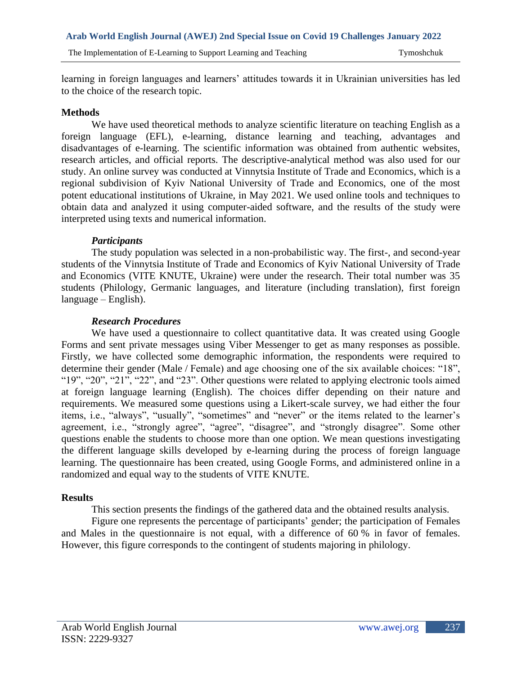learning in foreign languages and learners' attitudes towards it in Ukrainian universities has led to the choice of the research topic.

# **Methods**

We have used theoretical methods to analyze scientific literature on teaching English as a foreign language (EFL), e-learning, distance learning and teaching, advantages and disadvantages of e-learning. The scientific information was obtained from authentic websites, research articles, and official reports. The descriptive-analytical method was also used for our study. An online survey was conducted at Vinnytsia Institute of Trade and Economics, which is a regional subdivision of Kyiv National University of Trade and Economics, one of the most potent educational institutions of Ukraine, in May 2021. We used online tools and techniques to obtain data and analyzed it using computer-aided software, and the results of the study were interpreted using texts and numerical information.

## *Participants*

The study population was selected in a non-probabilistic way. The first-, and second-year students of the Vinnytsia Institute of Trade and Economics of Kyiv National University of Trade and Economics (VITE KNUTE, Ukraine) were under the research. Their total number was 35 students (Philology, Germanic languages, and literature (including translation), first foreign language – English).

# *Research Procedures*

We have used a questionnaire to collect quantitative data. It was created using Google Forms and sent private messages using Viber Messenger to get as many responses as possible. Firstly, we have collected some demographic information, the respondents were required to determine their gender (Male / Female) and age choosing one of the six available choices: "18", "19", "20", "21", "22", and "23". Other questions were related to applying electronic tools aimed at foreign language learning (English). The choices differ depending on their nature and requirements. We measured some questions using a Likert-scale survey, we had either the four items, i.e., "always", "usually", "sometimes" and "never" or the items related to the learner's agreement, i.e., "strongly agree", "agree", "disagree", and "strongly disagree". Some other questions enable the students to choose more than one option. We mean questions investigating the different language skills developed by e-learning during the process of foreign language learning. The questionnaire has been created, using Google Forms, and administered online in a randomized and equal way to the students of VITE KNUTE.

#### **Results**

This section presents the findings of the gathered data and the obtained results analysis.

Figure one represents the percentage of participants' gender; the participation of Females and Males in the questionnaire is not equal, with a difference of 60 % in favor of females. However, this figure corresponds to the contingent of students majoring in philology.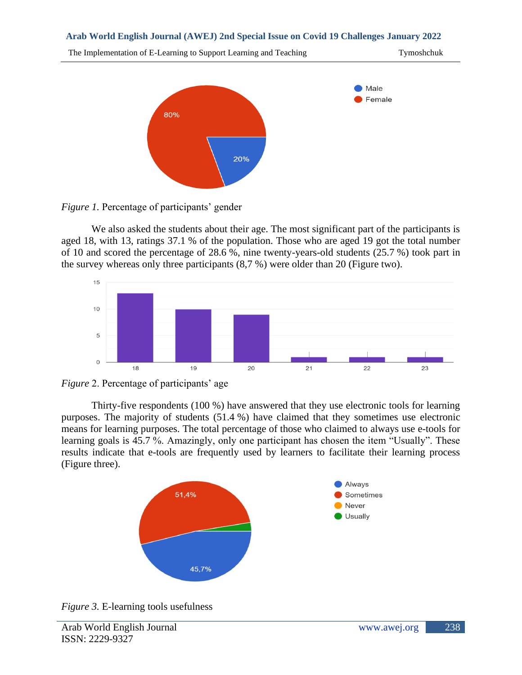



*Figure 1.* Percentage of participants' gender

We also asked the students about their age. The most significant part of the participants is aged 18, with 13, ratings 37.1 % of the population. Those who are aged 19 got the total number of 10 and scored the percentage of 28.6 %, nine twenty-years-old students (25.7 %) took part in the survey whereas only three participants (8,7 %) were older than 20 (Figure two).



*Figure* 2. Percentage of participants' age

Thirty-five respondents (100 %) have answered that they use electronic tools for learning purposes. The majority of students (51.4 %) have claimed that they sometimes use electronic means for learning purposes. The total percentage of those who claimed to always use e-tools for learning goals is 45.7 %. Amazingly, only one participant has chosen the item "Usually". These results indicate that e-tools are frequently used by learners to facilitate their learning process (Figure three).



*Figure 3.* E-learning tools usefulness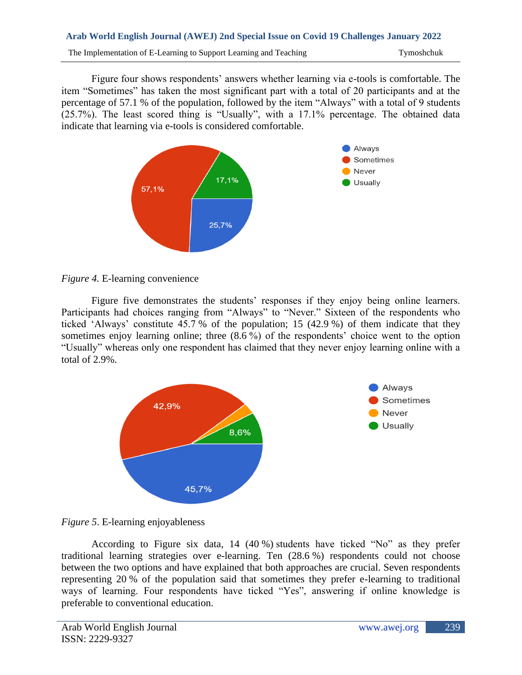The Implementation of E-Learning to Support Learning and Teaching Tymoshchuk Tymoshchuk

Figure four shows respondents' answers whether learning via e-tools is comfortable. The item "Sometimes" has taken the most significant part with a total of 20 participants and at the percentage of 57.1 % of the population, followed by the item "Always" with a total of 9 students (25.7%). The least scored thing is "Usually", with a 17.1% percentage. The obtained data indicate that learning via e-tools is considered comfortable.



# *Figure 4.* E-learning convenience

Figure five demonstrates the students' responses if they enjoy being online learners. Participants had choices ranging from "Always" to "Never." Sixteen of the respondents who ticked 'Always' constitute 45.7 % of the population; 15 (42.9 %) of them indicate that they sometimes enjoy learning online; three (8.6 %) of the respondents' choice went to the option "Usually" whereas only one respondent has claimed that they never enjoy learning online with a total of 2.9%.





According to Figure six data, 14 (40 %) students have ticked "No" as they prefer traditional learning strategies over e-learning. Ten (28.6 %) respondents could not choose between the two options and have explained that both approaches are crucial. Seven respondents representing 20 % of the population said that sometimes they prefer e-learning to traditional ways of learning. Four respondents have ticked "Yes", answering if online knowledge is preferable to conventional education.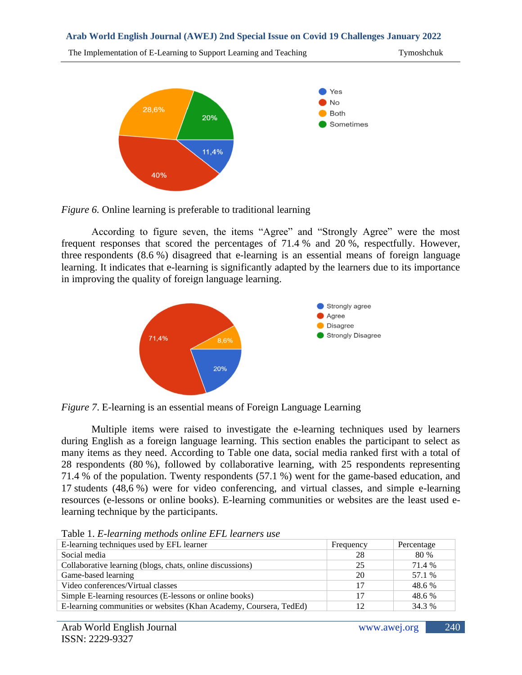The Implementation of E-Learning to Support Learning and Teaching Tymoshchuk Tymoshchuk



*Figure 6.* Online learning is preferable to traditional learning

According to figure seven, the items "Agree" and "Strongly Agree" were the most frequent responses that scored the percentages of 71.4 % and 20 %, respectfully. However, three respondents (8.6 %) disagreed that e-learning is an essential means of foreign language learning. It indicates that e-learning is significantly adapted by the learners due to its importance in improving the quality of foreign language learning.



*Figure 7*. E-learning is an essential means of Foreign Language Learning

Multiple items were raised to investigate the e-learning techniques used by learners during English as a foreign language learning. This section enables the participant to select as many items as they need. According to Table one data, social media ranked first with a total of 28 respondents (80 %), followed by collaborative learning, with 25 respondents representing 71.4 % of the population. Twenty respondents (57.1 %) went for the game-based education, and 17 students (48,6 %) were for video conferencing, and virtual classes, and simple e-learning resources (e-lessons or online books). E-learning communities or websites are the least used elearning technique by the participants.

| E-learning techniques used by EFL learner                          | Frequency | Percentage |
|--------------------------------------------------------------------|-----------|------------|
| Social media                                                       | 28        | 80 %       |
| Collaborative learning (blogs, chats, online discussions)          | 25        | 71.4 %     |
| Game-based learning                                                | 20        | 57.1 %     |
| Video conferences/Virtual classes                                  |           | 48.6 %     |
| Simple E-learning resources (E-lessons or online books)            |           | 48.6 %     |
| E-learning communities or websites (Khan Academy, Coursera, TedEd) |           | 34.3 %     |

Table 1. *E-learning methods online EFL learners use*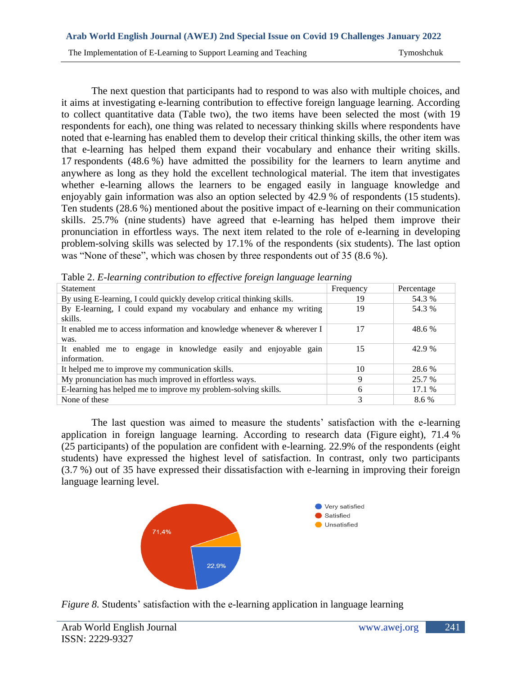The next question that participants had to respond to was also with multiple choices, and it aims at investigating e-learning contribution to effective foreign language learning. According to collect quantitative data (Table two), the two items have been selected the most (with 19 respondents for each), one thing was related to necessary thinking skills where respondents have noted that e-learning has enabled them to develop their critical thinking skills, the other item was that e-learning has helped them expand their vocabulary and enhance their writing skills. 17 respondents (48.6 %) have admitted the possibility for the learners to learn anytime and anywhere as long as they hold the excellent technological material. The item that investigates whether e-learning allows the learners to be engaged easily in language knowledge and enjoyably gain information was also an option selected by 42.9 % of respondents (15 students). Ten students (28.6 %) mentioned about the positive impact of e-learning on their communication skills. 25.7% (nine students) have agreed that e-learning has helped them improve their pronunciation in effortless ways. The next item related to the role of e-learning in developing problem-solving skills was selected by 17.1% of the respondents (six students). The last option was "None of these", which was chosen by three respondents out of 35 (8.6 %).

| <b>Statement</b>                                                           | Frequency | Percentage |
|----------------------------------------------------------------------------|-----------|------------|
| By using E-learning, I could quickly develop critical thinking skills.     | 19        | 54.3 %     |
| By E-learning, I could expand my vocabulary and enhance my writing         | 19        | 54.3 %     |
| skills.                                                                    |           |            |
| It enabled me to access information and knowledge whenever $\&$ wherever I | 17        | 48.6 %     |
| was.                                                                       |           |            |
| It enabled me to engage in knowledge easily and enjoyable gain             | 15        | 42.9 %     |
| information.                                                               |           |            |
| It helped me to improve my communication skills.                           | 10        | 28.6 %     |
| My pronunciation has much improved in effortless ways.                     | 9         | 25.7 %     |
| E-learning has helped me to improve my problem-solving skills.             | 6         | 17.1%      |
| None of these                                                              | 3         | 8.6 %      |

Table 2. *E-learning contribution to effective foreign language learning*

The last question was aimed to measure the students' satisfaction with the e-learning application in foreign language learning. According to research data (Figure eight), 71.4 % (25 participants) of the population are confident with e-learning. 22.9% of the respondents (eight students) have expressed the highest level of satisfaction. In contrast, only two participants (3.7 %) out of 35 have expressed their dissatisfaction with e-learning in improving their foreign language learning level.



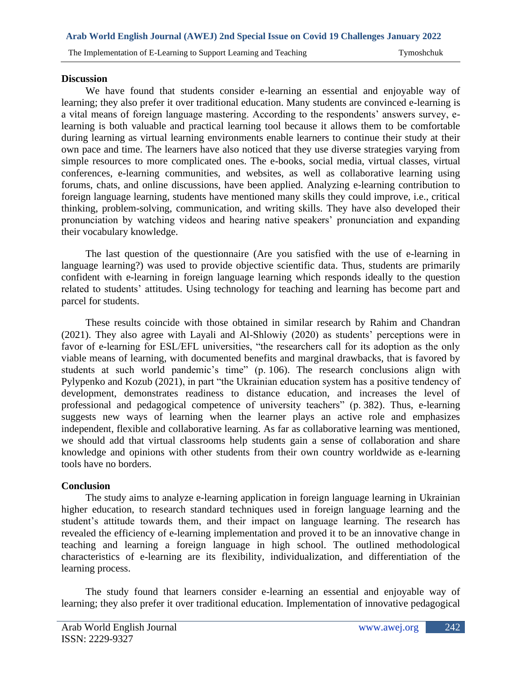## **Discussion**

We have found that students consider e-learning an essential and enjoyable way of learning; they also prefer it over traditional education. Many students are convinced e-learning is a vital means of foreign language mastering. According to the respondents' answers survey, elearning is both valuable and practical learning tool because it allows them to be comfortable during learning as virtual learning environments enable learners to continue their study at their own pace and time. The learners have also noticed that they use diverse strategies varying from simple resources to more complicated ones. The e-books, social media, virtual classes, virtual conferences, e-learning communities, and websites, as well as collaborative learning using forums, chats, and online discussions, have been applied. Analyzing e-learning contribution to foreign language learning, students have mentioned many skills they could improve, i.e., critical thinking, problem-solving, communication, and writing skills. They have also developed their pronunciation by watching videos and hearing native speakers' pronunciation and expanding their vocabulary knowledge.

The last question of the questionnaire (Are you satisfied with the use of e-learning in language learning?) was used to provide objective scientific data. Thus, students are primarily confident with e-learning in foreign language learning which responds ideally to the question related to students' attitudes. Using technology for teaching and learning has become part and parcel for students.

These results coincide with those obtained in similar research by Rahim and Chandran (2021). They also agree with Layali and Al-Shlowiy (2020) as students' perceptions were in favor of e-learning for ESL/EFL universities, "the researchers call for its adoption as the only viable means of learning, with documented benefits and marginal drawbacks, that is favored by students at such world pandemic's time" (p. 106). The research conclusions align with Pylypenko and Kozub (2021), in part "the Ukrainian education system has a positive tendency of development, demonstrates readiness to distance education, and increases the level of professional and pedagogical competence of university teachers" (p. 382). Thus, e-learning suggests new ways of learning when the learner plays an active role and emphasizes independent, flexible and collaborative learning. As far as collaborative learning was mentioned, we should add that virtual classrooms help students gain a sense of collaboration and share knowledge and opinions with other students from their own country worldwide as e-learning tools have no borders.

# **Conclusion**

The study aims to analyze e-learning application in foreign language learning in Ukrainian higher education, to research standard techniques used in foreign language learning and the student's attitude towards them, and their impact on language learning. The research has revealed the efficiency of e-learning implementation and proved it to be an innovative change in teaching and learning a foreign language in high school. The outlined methodological characteristics of e-learning are its flexibility, individualization, and differentiation of the learning process.

The study found that learners consider e-learning an essential and enjoyable way of learning; they also prefer it over traditional education. Implementation of innovative pedagogical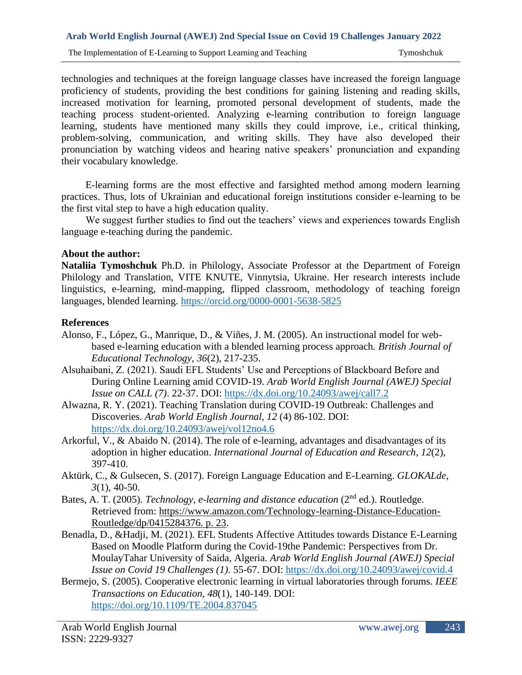technologies and techniques at the foreign language classes have increased the foreign language proficiency of students, providing the best conditions for gaining listening and reading skills, increased motivation for learning, promoted personal development of students, made the teaching process student-oriented. Analyzing e-learning contribution to foreign language learning, students have mentioned many skills they could improve, i.e., critical thinking, problem-solving, communication, and writing skills. They have also developed their pronunciation by watching videos and hearing native speakers' pronunciation and expanding their vocabulary knowledge.

E-learning forms are the most effective and farsighted method among modern learning practices. Thus, lots of Ukrainian and educational foreign institutions consider e-learning to be the first vital step to have a high education quality.

We suggest further studies to find out the teachers' views and experiences towards English language e-teaching during the pandemic.

# **About the author:**

**Nataliia Tymoshchuk** Ph.D. in Philology, Associate Professor at the Department of Foreign Philology and Translation, VITE KNUTE, Vinnytsia, Ukraine. Her research interests include linguistics, e-learning, mind-mapping, flipped classroom, methodology of teaching foreign languages, blended learning.<https://orcid.org/0000-0001-5638-5825>

## **References**

- Alonso, F., López, G., Manrique, D., & Viñes, J. M. (2005). An instructional model for webbased e-learning education with a blended learning process approach. *British Journal of Educational Technology*, *36*(2), 217-235.
- Alsuhaibani, Z. (2021). Saudi EFL Students' Use and Perceptions of Blackboard Before and During Online Learning amid COVID-19. *Arab World English Journal (AWEJ) Special Issue on CALL (7)*. 22-37. DOI:<https://dx.doi.org/10.24093/awej/call7.2>
- Alwazna, R. Y. (2021). Teaching Translation during COVID-19 Outbreak: Challenges and Discoveries. *Arab World English Journal, 12* (4) 86-102. DOI: <https://dx.doi.org/10.24093/awej/vol12no4.6>
- Arkorful, V., & Abaido N. (2014). The role of e-learning, advantages and disadvantages of its adoption in higher education. *International Journal of Education and Research*, *12*(2), 397-410.
- Aktürk, C., & Gulsecen, S. (2017). Foreign Language Education and E-Learning. *GLOKALde*, *3*(1), 40-50.
- Bates, A. T. (2005). *Technology, e-learning and distance education* (2nd ed.). Routledge. Retrieved from: [https://www.amazon.com/Technology-learning-Distance-Education-](https://www.amazon.com/Technology-learning-Distance-Education-Routledge/dp/0415284376.%20p.%2023)[Routledge/dp/0415284376. p. 23.](https://www.amazon.com/Technology-learning-Distance-Education-Routledge/dp/0415284376.%20p.%2023)
- Benadla, D., &Hadji, M. (2021). EFL Students Affective Attitudes towards Distance E-Learning Based on Moodle Platform during the Covid-19the Pandemic: Perspectives from Dr. MoulayTahar University of Saida, Algeria. *Arab World English Journal (AWEJ) Special Issue on Covid 19 Challenges (1)*. 55-67. DOI:<https://dx.doi.org/10.24093/awej/covid.4>
- Bermejo, S. (2005). Cooperative electronic learning in virtual laboratories through forums. *IEEE Transactions on Education*, *48*(1), 140-149. DOI: <https://doi.org/10.1109/TE.2004.837045>